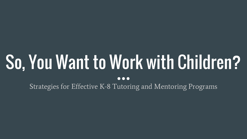# So, You Want to Work with Children?

 $\bullet\bullet\bullet$ 

Strategies for Effective K-8 Tutoring and Mentoring Programs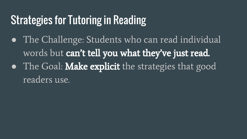# Strategies for Tutoring in Reading

• The Challenge: Students who can read individual words but can't tell you what they've just read. • The Goal: Make explicit the strategies that good readers use.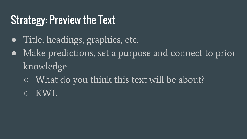# Strategy: Preview the Text

- Title, headings, graphics, etc.
- Make predictions, set a purpose and connect to prior knowledge
	- What do you think this text will be about?
	- KWL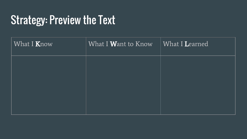# **Strategy: Preview the Text**

| What I Know | What I Want to Know | What I Learned |
|-------------|---------------------|----------------|
|             |                     |                |
|             |                     |                |
|             |                     |                |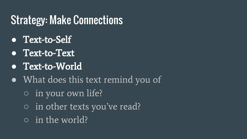# Strategy: Make Connections

- **●** Text-to-Self
- **●** Text-to-Text
- **●** Text-to-World
- What does this text remind you of
	- in your own life?
	- in other texts you've read?
	- in the world?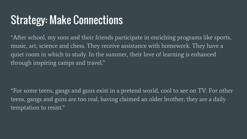# Strategy: Make Connections

"After school, my sons and their friends participate in enriching programs like sports, music, art, science and chess. They receive assistance with homework. They have a quiet room in which to study. In the summer, their love of learning is enhanced through inspiring camps and travel."

"For some teens, gangs and guns exist in a pretend world, cool to see on TV. For other teens, gangs and guns are too real, having claimed an older brother; they are a daily temptation to resist."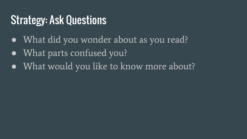# Strategy: Ask Questions

- What did you wonder about as you read?
- What parts confused you?
- What would you like to know more about?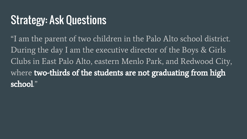# Strategy: Ask Questions

"I am the parent of two children in the Palo Alto school district. During the day I am the executive director of the Boys & Girls Clubs in East Palo Alto, eastern Menlo Park, and Redwood City, where two-thirds of the students are not graduating from high school."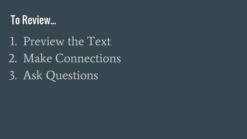# To Review...

- 1. Preview the Text
- 2. Make Connections
- 3. Ask Questions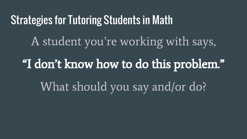#### Strategies for Tutoring Students in Math

A student you're working with says,

"I don't know how to do this problem." What should you say and/or do?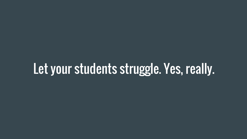# Let your students struggle. Yes, really.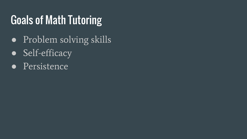# Goals of Math Tutoring

- Problem solving skills
- Self-efficacy
- Persistence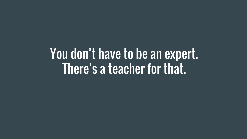You don't have to be an expert. There's a teacher for that.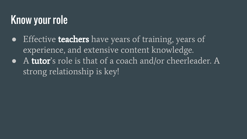# Know your role

- Effective **teachers** have years of training, years of experience, and extensive content knowledge.
- A tutor's role is that of a coach and/or cheerleader. A strong relationship is key!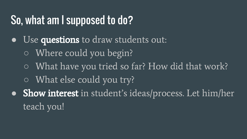## So, what am I supposed to do?

- Use questions to draw students out:
	- Where could you begin?
	- What have you tried so far? How did that work?
	- What else could you try?
- Show interest in student's ideas/process. Let him/her teach you!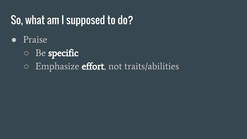# So, what am I supposed to do?

- Praise
	- Be specific
	- $\circ$  Emphasize effort, not traits/abilities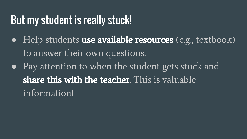## But my student is really stuck!

- Help students use available resources (e.g., textbook) to answer their own questions.
- Pay attention to when the student gets stuck and share this with the teacher. This is valuable information!